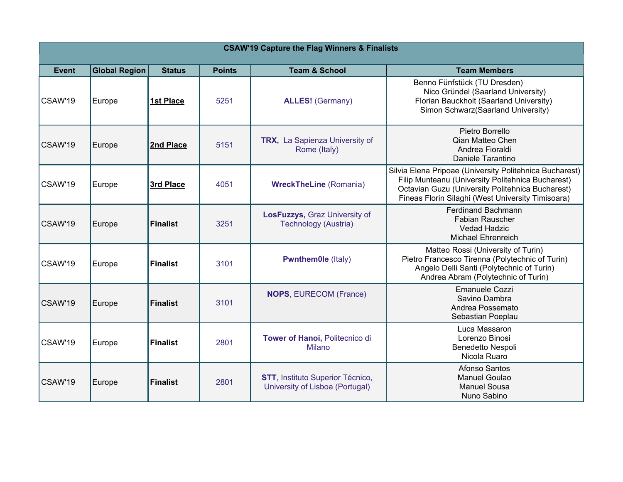| <b>CSAW'19 Capture the Flag Winners &amp; Finalists</b> |                      |                  |               |                                                                             |                                                                                                                                                                                                                       |  |  |  |
|---------------------------------------------------------|----------------------|------------------|---------------|-----------------------------------------------------------------------------|-----------------------------------------------------------------------------------------------------------------------------------------------------------------------------------------------------------------------|--|--|--|
| <b>Event</b>                                            | <b>Global Region</b> | <b>Status</b>    | <b>Points</b> | <b>Team &amp; School</b>                                                    | <b>Team Members</b>                                                                                                                                                                                                   |  |  |  |
| CSAW'19                                                 | Europe               | <b>1st Place</b> | 5251          | <b>ALLES!</b> (Germany)                                                     | Benno Fünfstück (TU Dresden)<br>Nico Gründel (Saarland University)<br>Florian Bauckholt (Saarland University)<br>Simon Schwarz(Saarland University)                                                                   |  |  |  |
| CSAW'19                                                 | Europe               | 2nd Place        | 5151          | TRX, La Sapienza University of<br>Rome (Italy)                              | Pietro Borrello<br>Qian Matteo Chen<br>Andrea Fioraldi<br>Daniele Tarantino                                                                                                                                           |  |  |  |
| CSAW'19                                                 | Europe               | 3rd Place        | 4051          | <b>WreckTheLine (Romania)</b>                                               | Silvia Elena Pripoae (University Politehnica Bucharest)<br>Filip Munteanu (University Politehnica Bucharest)<br>Octavian Guzu (University Politehnica Bucharest)<br>Fineas Florin Silaghi (West University Timisoara) |  |  |  |
| CSAW'19                                                 | Europe               | <b>Finalist</b>  | 3251          | LosFuzzys, Graz University of<br>Technology (Austria)                       | <b>Ferdinand Bachmann</b><br>Fabian Rauscher<br><b>Vedad Hadzic</b><br><b>Michael Ehrenreich</b>                                                                                                                      |  |  |  |
| CSAW'19                                                 | Europe               | <b>Finalist</b>  | 3101          | <b>Pwnthem0le (Italy)</b>                                                   | Matteo Rossi (University of Turin)<br>Pietro Francesco Tirenna (Polytechnic of Turin)<br>Angelo Delli Santi (Polytechnic of Turin)<br>Andrea Abram (Polytechnic of Turin)                                             |  |  |  |
| CSAW'19                                                 | Europe               | Finalist         | 3101          | <b>NOPS, EURECOM (France)</b>                                               | <b>Emanuele Cozzi</b><br>Savino Dambra<br>Andrea Possemato<br>Sebastian Poeplau                                                                                                                                       |  |  |  |
| CSAW'19                                                 | Europe               | Finalist         | 2801          | Tower of Hanoi, Politecnico di<br><b>Milano</b>                             | Luca Massaron<br>Lorenzo Binosi<br>Benedetto Nespoli<br>Nicola Ruaro                                                                                                                                                  |  |  |  |
| CSAW'19                                                 | Europe               | <b>Finalist</b>  | 2801          | <b>STT</b> , Instituto Superior Técnico,<br>University of Lisboa (Portugal) | Afonso Santos<br><b>Manuel Goulao</b><br><b>Manuel Sousa</b><br>Nuno Sabino                                                                                                                                           |  |  |  |